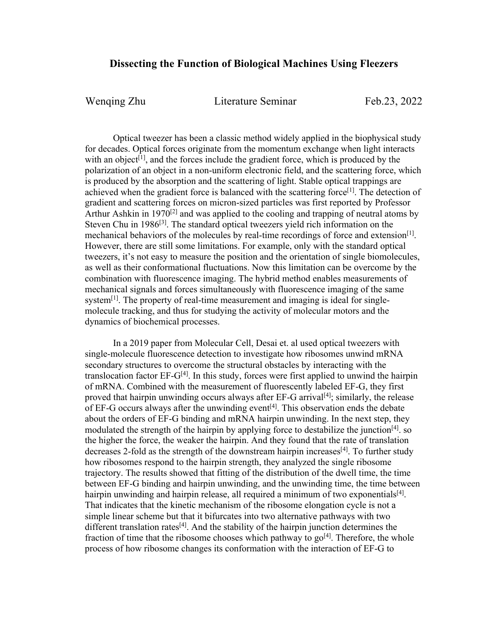## **Dissecting the Function of Biological Machines Using Fleezers**

Wenging Zhu Literature Seminar Feb.23, 2022

Optical tweezer has been a classic method widely applied in the biophysical study for decades. Optical forces originate from the momentum exchange when light interacts with an object<sup>[1]</sup>, and the forces include the gradient force, which is produced by the polarization of an object in a non-uniform electronic field, and the scattering force, which is produced by the absorption and the scattering of light. Stable optical trappings are achieved when the gradient force is balanced with the scattering force<sup>[1]</sup>. The detection of gradient and scattering forces on micron-sized particles was first reported by Professor Arthur Ashkin in 1970<sup>[2]</sup> and was applied to the cooling and trapping of neutral atoms by Steven Chu in 1986<sup>[3]</sup>. The standard optical tweezers yield rich information on the mechanical behaviors of the molecules by real-time recordings of force and extension<sup>[1]</sup>. However, there are still some limitations. For example, only with the standard optical tweezers, it's not easy to measure the position and the orientation of single biomolecules, as well as their conformational fluctuations. Now this limitation can be overcome by the combination with fluorescence imaging. The hybrid method enables measurements of mechanical signals and forces simultaneously with fluorescence imaging of the same system<sup>[1]</sup>. The property of real-time measurement and imaging is ideal for singlemolecule tracking, and thus for studying the activity of molecular motors and the dynamics of biochemical processes.

In a 2019 paper from Molecular Cell, Desai et. al used optical tweezers with single-molecule fluorescence detection to investigate how ribosomes unwind mRNA secondary structures to overcome the structural obstacles by interacting with the translocation factor  $EF-G^{[4]}$ . In this study, forces were first applied to unwind the hairpin of mRNA. Combined with the measurement of fluorescently labeled EF-G, they first proved that hairpin unwinding occurs always after  $EF-G$  arrival<sup>[4]</sup>; similarly, the release of EF-G occurs always after the unwinding event<sup>[4]</sup>. This observation ends the debate about the orders of EF-G binding and mRNA hairpin unwinding. In the next step, they modulated the strength of the hairpin by applying force to destabilize the junction<sup>[4]</sup>. so the higher the force, the weaker the hairpin. And they found that the rate of translation decreases 2-fold as the strength of the downstream hairpin increases<sup>[4]</sup>. To further study how ribosomes respond to the hairpin strength, they analyzed the single ribosome trajectory. The results showed that fitting of the distribution of the dwell time, the time between EF-G binding and hairpin unwinding, and the unwinding time, the time between hairpin unwinding and hairpin release, all required a minimum of two exponentials $[4]$ . That indicates that the kinetic mechanism of the ribosome elongation cycle is not a simple linear scheme but that it bifurcates into two alternative pathways with two different translation rates<sup>[4]</sup>. And the stability of the hairpin junction determines the fraction of time that the ribosome chooses which pathway to  $g_0$ <sup>[4]</sup>. Therefore, the whole process of how ribosome changes its conformation with the interaction of EF-G to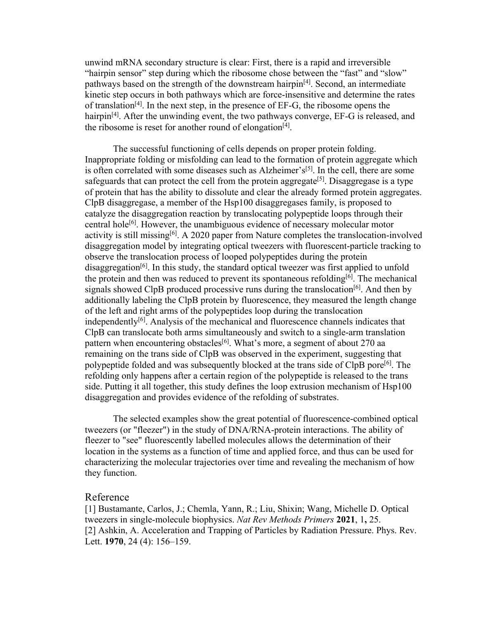unwind mRNA secondary structure is clear: First, there is a rapid and irreversible "hairpin sensor" step during which the ribosome chose between the "fast" and "slow" pathways based on the strength of the downstream hairpin<sup>[4]</sup>. Second, an intermediate kinetic step occurs in both pathways which are force-insensitive and determine the rates of translation<sup>[4]</sup>. In the next step, in the presence of EF-G, the ribosome opens the hairpin<sup>[4]</sup>. After the unwinding event, the two pathways converge, EF-G is released, and the ribosome is reset for another round of elongation<sup>[4]</sup>.

The successful functioning of cells depends on proper protein folding. Inappropriate folding or misfolding can lead to the formation of protein aggregate which is often correlated with some diseases such as Alzheimer's<sup>[5]</sup>. In the cell, there are some safeguards that can protect the cell from the protein aggregate<sup>[5]</sup>. Disaggregase is a type of protein that has the ability to dissolute and clear the already formed protein aggregates. ClpB disaggregase, a member of the Hsp100 disaggregases family, is proposed to catalyze the disaggregation reaction by translocating polypeptide loops through their central hole<sup>[6]</sup>. However, the unambiguous evidence of necessary molecular motor activity is still missing<sup>[6]</sup>. A 2020 paper from Nature completes the translocation-involved disaggregation model by integrating optical tweezers with fluorescent-particle tracking to observe the translocation process of looped polypeptides during the protein disaggregation<sup>[6]</sup>. In this study, the standard optical tweezer was first applied to unfold the protein and then was reduced to prevent its spontaneous refolding<sup>[6]</sup>. The mechanical signals showed ClpB produced processive runs during the translocation<sup>[6]</sup>. And then by additionally labeling the ClpB protein by fluorescence, they measured the length change of the left and right arms of the polypeptides loop during the translocation independently<sup>[6]</sup>. Analysis of the mechanical and fluorescence channels indicates that ClpB can translocate both arms simultaneously and switch to a single-arm translation pattern when encountering obstacles<sup>[6]</sup>. What's more, a segment of about 270 aa remaining on the trans side of ClpB was observed in the experiment, suggesting that polypeptide folded and was subsequently blocked at the trans side of ClpB pore<sup>[6]</sup>. The refolding only happens after a certain region of the polypeptide is released to the trans side. Putting it all together, this study defines the loop extrusion mechanism of Hsp100 disaggregation and provides evidence of the refolding of substrates.

The selected examples show the great potential of fluorescence-combined optical tweezers (or "fleezer") in the study of DNA/RNA-protein interactions. The ability of fleezer to "see" fluorescently labelled molecules allows the determination of their location in the systems as a function of time and applied force, and thus can be used for characterizing the molecular trajectories over time and revealing the mechanism of how they function.

## Reference

[1] Bustamante, Carlos, J.; Chemla, Yann, R.; Liu, Shixin; Wang, Michelle D. Optical tweezers in single-molecule biophysics. *Nat Rev Methods Primers* **2021**, 1**,** 25. [2] Ashkin, A. Acceleration and Trapping of Particles by Radiation Pressure. Phys. Rev. Lett. **1970**, 24 (4): 156–159.